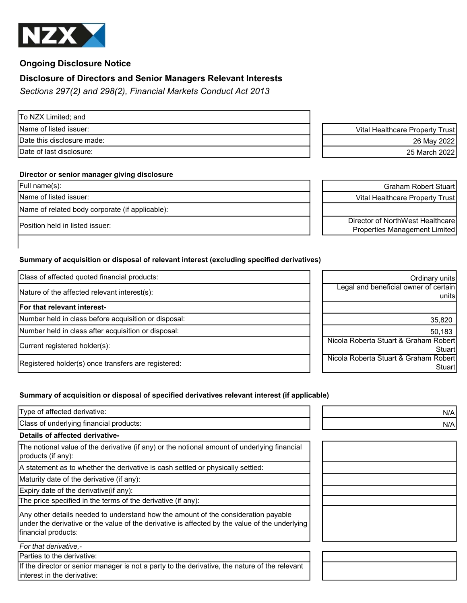

# Ongoing Disclosure Notice

# Disclosure of Directors and Senior Managers Relevant Interests

Sections 297(2) and 298(2), Financial Markets Conduct Act 2013

To NZX Limited; and

## Director or senior manager giving disclosure

Name of related body corporate (if applicable):

# Summary of acquisition or disposal of relevant interest (excluding specified derivatives)

| Class of affected quoted financial products:         | Ordinary units                        |
|------------------------------------------------------|---------------------------------------|
| Nature of the affected relevant interest(s):         | Legal and beneficial owner of certain |
| For that relevant interest-                          | unitsl                                |
| Number held in class before acquisition or disposal: | 35,820                                |
| Number held in class after acquisition or disposal:  | 50,183                                |
| Current registered holder(s):                        | Nicola Roberta Stuart & Graham Robert |
|                                                      | Stuartl                               |
| Registered holder(s) once transfers are registered:  | Nicola Roberta Stuart & Graham Robert |
|                                                      | Stuartl                               |

# Summary of acquisition or disposal of specified derivatives relevant interest (if applicable)

| Type of affected derivative:                                                                                                                                                                                | N/A |
|-------------------------------------------------------------------------------------------------------------------------------------------------------------------------------------------------------------|-----|
| Class of underlying financial products:                                                                                                                                                                     | N/A |
| Details of affected derivative-                                                                                                                                                                             |     |
| The notional value of the derivative (if any) or the notional amount of underlying financial<br>products (if any):                                                                                          |     |
| A statement as to whether the derivative is cash settled or physically settled:                                                                                                                             |     |
| Maturity date of the derivative (if any):                                                                                                                                                                   |     |
| Expiry date of the derivative(if any):                                                                                                                                                                      |     |
| The price specified in the terms of the derivative (if any):                                                                                                                                                |     |
| Any other details needed to understand how the amount of the consideration payable<br>under the derivative or the value of the derivative is affected by the value of the underlying<br>financial products: |     |
| For that derivative.-                                                                                                                                                                                       |     |
| Parties to the derivative:                                                                                                                                                                                  |     |
| If the director or senior manager is not a party to the derivative, the nature of the relevant<br>linterest in the derivative:                                                                              |     |

Name of listed issuer: variable to the view of listed issuer: Vital Healthcare Property Trust Date this disclosure made: 26 May 2022 Date of last disclosure: 25 March 2022

Full name(s): Graham Robert Stuart Name of listed issuer:  $\begin{vmatrix} 1 & 1 \end{vmatrix}$  Vital Healthcare Property Trust

Position held in listed issuer:<br>Position held in listed issuer: Director of NorthWest Healthcare Properties Management Limited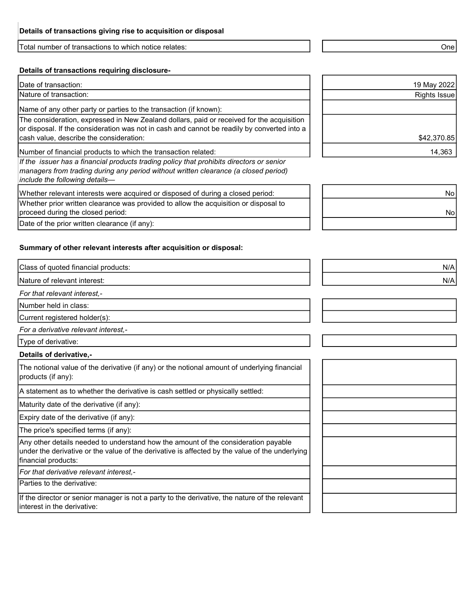Total number of transactions to which notice relates: One

## Details of transactions requiring disclosure-

Date of transaction:

Nature of transaction:

Name of any other party or parties to the transaction (if known):

The consideration, expressed in New Zealand dollars, paid or received for the acquisition or disposal. If the consideration was not in cash and cannot be readily by converted into a cash value, describe the consideration:

Number of financial products to which the transaction related:

If the issuer has a financial products trading policy that prohibits directors or senior managers from trading during any period without written clearance (a closed period) include the following details—

Whether relevant interests were acquired or disposed of during a closed period:

Whether prior written clearance was provided to allow the acquisition or disposal to proceed during the closed period:

Date of the prior written clearance (if any):

## Summary of other relevant interests after acquisition or disposal:

Class of quoted financial products: N/A

Nature of relevant interest: N/A

For that relevant interest,-

Number held in class:

Current registered holder(s):

For a derivative relevant interest,-

Type of derivative:

#### Details of derivative,-

The notional value of the derivative (if any) or the notional amount of underlying financial products (if any):

A statement as to whether the derivative is cash settled or physically settled:

Maturity date of the derivative (if any):

Expiry date of the derivative (if any):

The price's specified terms (if any):

Any other details needed to understand how the amount of the consideration payable under the derivative or the value of the derivative is affected by the value of the underlying financial products:

For that derivative relevant interest,-

Parties to the derivative:

If the director or senior manager is not a party to the derivative, the nature of the relevant interest in the derivative:

| 19 May 2022  |
|--------------|
| Rights Issue |
|              |
|              |
|              |
| \$42,370.85  |
| 14,363       |

| No |
|----|
| No |
|    |